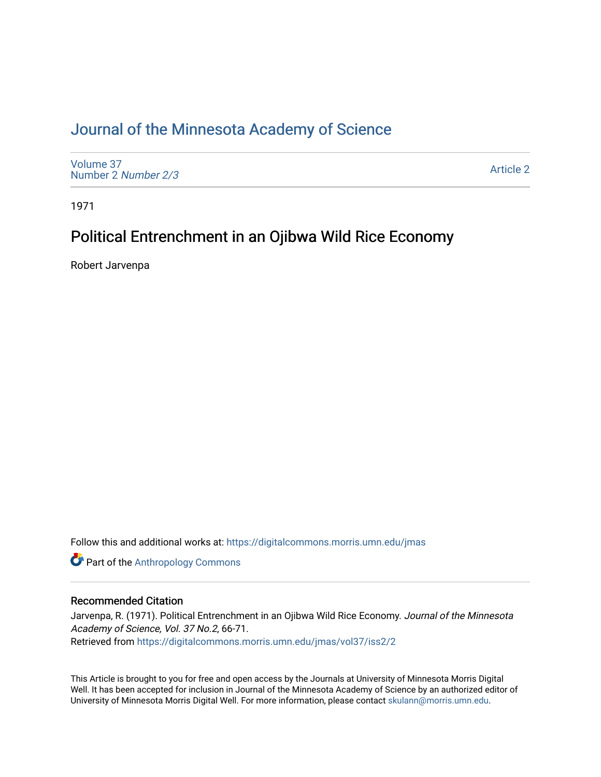# [Journal of the Minnesota Academy of Science](https://digitalcommons.morris.umn.edu/jmas)

[Volume 37](https://digitalcommons.morris.umn.edu/jmas/vol37) [Number 2](https://digitalcommons.morris.umn.edu/jmas/vol37/iss2) Number 2/3

[Article 2](https://digitalcommons.morris.umn.edu/jmas/vol37/iss2/2) 

1971

# Political Entrenchment in an Ojibwa Wild Rice Economy

Robert Jarvenpa

Follow this and additional works at: [https://digitalcommons.morris.umn.edu/jmas](https://digitalcommons.morris.umn.edu/jmas?utm_source=digitalcommons.morris.umn.edu%2Fjmas%2Fvol37%2Fiss2%2F2&utm_medium=PDF&utm_campaign=PDFCoverPages) 

**Part of the [Anthropology Commons](https://network.bepress.com/hgg/discipline/318?utm_source=digitalcommons.morris.umn.edu%2Fjmas%2Fvol37%2Fiss2%2F2&utm_medium=PDF&utm_campaign=PDFCoverPages)** 

# Recommended Citation

Jarvenpa, R. (1971). Political Entrenchment in an Ojibwa Wild Rice Economy. Journal of the Minnesota Academy of Science, Vol. 37 No.2, 66-71. Retrieved from [https://digitalcommons.morris.umn.edu/jmas/vol37/iss2/2](https://digitalcommons.morris.umn.edu/jmas/vol37/iss2/2?utm_source=digitalcommons.morris.umn.edu%2Fjmas%2Fvol37%2Fiss2%2F2&utm_medium=PDF&utm_campaign=PDFCoverPages)

This Article is brought to you for free and open access by the Journals at University of Minnesota Morris Digital Well. It has been accepted for inclusion in Journal of the Minnesota Academy of Science by an authorized editor of University of Minnesota Morris Digital Well. For more information, please contact [skulann@morris.umn.edu](mailto:skulann@morris.umn.edu).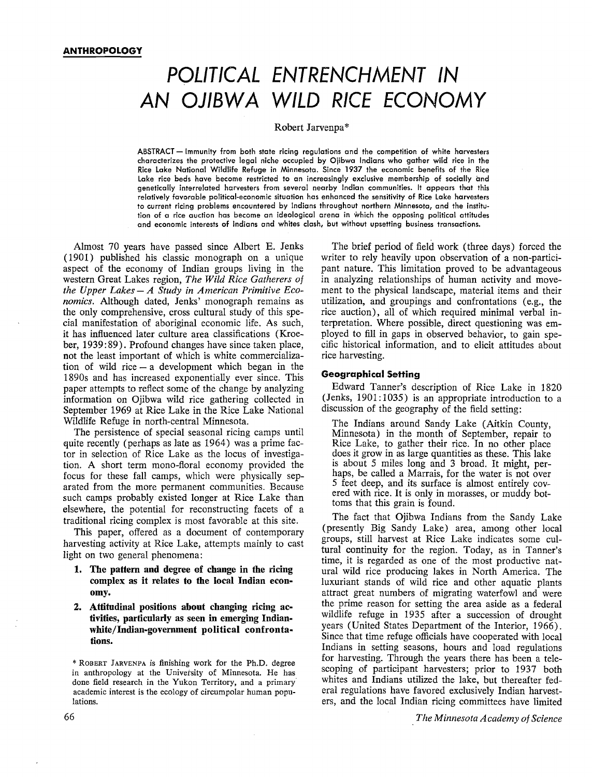# POLITICAL ENTRENCHMENT IN AN OJIBWA WILD RICE ECONOMY

#### Robert Jarvenpa\*

ABSTRACT - Immunity from both state ricing regulations and the competition of white harvesters characterizes the protective legal niche occupied by Ojibwa Indians who gather wild rice in the Rice Lake National Wildlife Refuge in Minnesota. Since 1937 the economic benefits of the Rice Lake rice beds have become restricted to an increasingly exclusive membership of socially and genetically interrelated harvesters from several nearby Indian communities. It appears that this relatively favorable political-economic situation has enhanced the sensitivity of Rice Lake harvesters to current ricing problems encountered by Indians throughout northern Minnesota, and the institution of a rice auction has become an ideological arena in which the opposing political attitudes and economic interests of Indians and whites clash, but without upsetting business transactions.

Almost 70 years have passed since Albert E. Jenks ( 1901) published his classic monograph on a unique aspect of the economy of Indian groups living in the western Great Lakes region, *The Wild Rice Gatherers of the Upper Lakes* - *A Study in American Primitive Economics.* Although dated, Jenks' monograph remains as the only comprehensive, cross cultural study of this special manifestation of aboriginal economic life. As such, it has influenced later culture area classifications (Kroeber, 1939: 89). Profound changes have since taken place, not the least important of which is white commercialization of wild rice  $-$  a development which began in the 1890s and has increased exponentially ever since. This paper attempts to reflect some of the change by analyzing information on Ojibwa wild rice gathering collected in September 1969 at Rice Lake in the Rice Lake National Wildlife Refuge in north-central Minnesota.

The persistence of special seasonal ricing camps until quite recently (perhaps as late as 1964) was a prime factor in selection of Rice Lake as the locus of investigation. A short term mono-floral economy provided the focus for these fall camps, which were physically separated from the more permanent communities. Because such camps probably existed longer at Rice Lake than elsewhere, the potential for reconstructing facets of a traditional ricing complex is most favorable at this site.

This paper, offered as a document of contemporary harvesting activity at Rice Lake, attempts mainly to cast light on two general phenomena:

- **1. The pattern and degree of change in the ricing complex as it relates to the local Indian economy.**
- **2. Attitudinal positions about changing ricing activities, particularly as seen in emerging Indianwbite/Indian-government political confrontations.**

The brief period of field work ( three days) forced the writer to rely heavily upon observation of a non-participant nature. This limitation proved to be advantageous in analyzing relationships of human activity and movement to the physical landscape, material items and their utilization, and groupings and confrontations ( e.g., the rice auction), all of which required minimal verbal interpretation. Where possible, direct questioning was employed to fill in gaps in observed behavior, to gain specific historical information, and to elicit attitudes about rice harvesting.

# **Geographical Setting**

Edward Tanner's description of Rice Lake in 1820 (Jenks, 1901: 1035) is an appropriate introduction to a discussion of the geography of the field setting:

The Indians around Sandy Lake (Aitkin County, Minnesota) in the month of September, repair to Rice Lake, to gather their rice. In no other place does it grow in as large quantities as these. This lake is about *5* miles long and 3 broad. It might, perhaps, be called a Marrais, for the water is not over *5* feet deep, and its surface is almost entirely covered with rice. It is only in morasses, or muddy bottoms that this grain is found.

The fact that Ojibwa Indians from the Sandy Lake (presently Big Sandy Lake) area, among other local groups, still harvest at Rice Lake indicates some cultural continuity for the region. Today, as in Tanner's time, it is regarded as one of the most productive natural wild rice producing lakes in North America. The luxuriant stands of wild rice and other aquatic plants attract great numbers of migrating waterfowl and were the prime reason for setting the area aside as a federal wildlife refuge in 1935 after a succession of drought years (United States Department of the Interior, 1966). Since that time refuge officials have cooperated with local Indians in setting seasons, hours and load regulations for harvesting. Through the years there has been a telescoping of participant harvesters; prior to 1937 both whites and Indians utilized the lake, but thereafter federal regulations have favored exclusively Indian harvesters, and the local Indian ricing committees have limited

<sup>\*</sup> ROBERT IARVENPA is finishing work for the Ph.D. degree in anthropology at the University of Minnesota. He has done field research in the Yukon Territory, and a primary academic interest is the ecology of circumpolar human populations.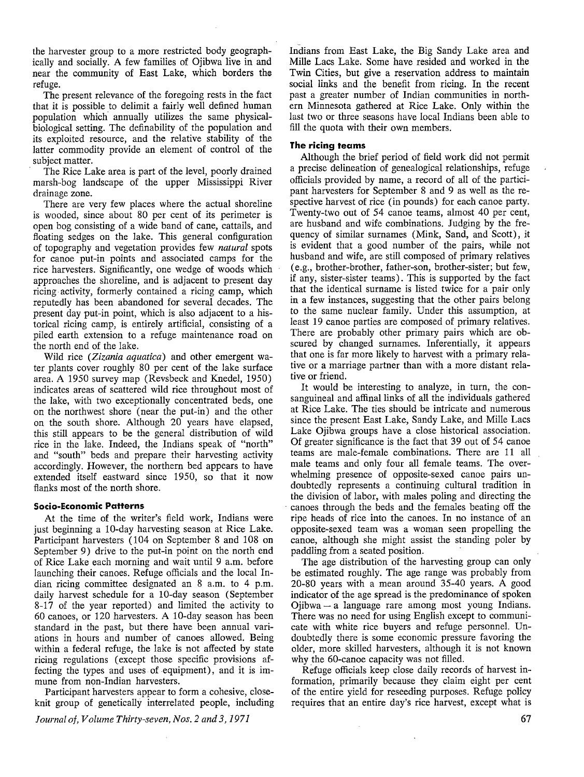the harvester group to a more restricted body geographically and socially. A few families of Ojibwa live in and near the community of East Lake, which borders the refuge.

The present relevance of the foregoing rests in the fact that it is possible to delimit a fairly well defined human population which annually utilizes the same physicalbiological setting. The definability of the population and its exploited resource, and the relative stability of the latter commodity provide an element of control of the subject matter.

The Rice Lake area is part of the level, poorly drained marsh-bog landscape of the upper Mississippi River drainage zone.

There are very few places where the actual shoreline is wooded, since about 80 per cent of its perimeter is open bog consisting of a wide band of cane, cattails, and floating sedges on the lake. This general configuration of topography and vegetation provides few *natural* spots for canoe put-in points and associated camps for the rice harvesters. Significantly, one wedge of woods which approaches the shoreline, and is adjacent to present day ricing activity, formerly contained a ricing camp, which reputedly has been abandoned for several decades. The present day put-in point, which is also adjacent to a historical ricing camp, is entirely artificial, consisting of a piled earth extension to a refuge maintenance road on the north end of the lake.

Wild rice *(Zizania aquatica)* and other emergent water plants cover roughly 80 per cent of the lake surface area. A 1950 survey map (Revsbeck and Knedel, 1950) indicates areas of scattered wild rice throughout most of the lake, with two exceptionally concentrated beds, one on the northwest shore (near the put-in) and the other on the south shore. Although 20 years have elapsed, this still appears to be the general distribution of wild rice in the lake. Indeed, the Indians speak of "north" and "south" beds and prepare their harvesting activity accordingly. However, the northern bed appears to have extended itself eastward since 1950, so that it now flanks most of the north shore.

## **Socio-Economic Patterns**

At the time of the writer's field work, Indians were just beginning a 10-day harvesting season at Rice Lake. Participant harvesters (104 on September 8 and 108 on September 9) drive to the put-in point on the north end of Rice Lake each morning and wait until 9 a.m. before launching their canoes. Refuge officials and the local Indian ricing committee designated an 8 a.m. to 4 p.m. daily harvest schedule for a 10-day season (September 8-17 of the year reported) and limited the activity to 60 canoes, or 120 harvesters. A 10-day season has been standard in the past, but there have been annual variations in hours and number of canoes allowed. Being within a federal refuge, the lake is not affected by state ricing regulations (except those specific provisions affecting the types and uses of equipment), and it is immune from non-Indian harvesters.

Participant harvesters appear to form a cohesive, closeknit group of genetically interrelated people, including

*Journal of, Volume Thirty-seven, Nos. 2 and 3, 1971* 

Indians from East Lake, the Big Sandy Lake area and Mille Lacs Lake. Some have resided and worked in the Twin Cities, but give a reservation address to maintain social links and the benefit from ricing. In the recent past a greater number of Indian communities in northern Minnesota gathered at Rice Lake. Only within the last two or three seasons have local Indians been able to fill the quota with their own members.

#### **The ricing teams**

Although the brief period of field work did not permit a precise delineation of genealogical relationships, refuge officials provided by name, a record of all of the participant harvesters for September 8 and 9 as well as the respective harvest of rice (in pounds) for each canoe party. Twenty-two out of 54 canoe teams, almost 40 per cent, are husband and wife combinations. Judging by the frequency of similar surnames (Mink, Sand, and Scott), it is evident that a good number of the pairs, while not husband and wife, are still composed of primary relatives (e.g., brother-brother, father-son, brother-sister; but few, if any, sister-sister teams). This is supported by the fact that the identical surname is listed twice for a pair only in a few instances, suggesting that the other pairs belong to the same nuclear family. Under this assumption, at least 19 canoe parties are composed of primary relatives. There are probably other primary pairs which are obscured by changed surnames. Inferentially, it appears that one is far more likely to harvest with a primary relative or a marriage partner than with a more distant relative or friend.

It would be interesting to analyze, in turn, the consanguineal and affinal links of all the individuals gathered at Rice Lake. The ties should be intricate and numerous since the present East Lake, Sandy Lake, and Mille Lacs Lake Ojibwa groups have a close historical association. Of greater significance is the fact that 39 out of 54 canoe teams are male-female combinations. There are 11 all male teams and only four all female teams. The overwhelming presence of opposite-sexed canoe pairs undoubtedly represents a continuing cultural tradition in the division of labor, with males poling and directing the canoes through the beds and the females beating off the ripe heads of rice into the canoes. In no instance of an opposite-sexed team was a woman seen propelling the canoe, although she might assist the standing poler by paddling from a seated position.

The age distribution of the harvesting group can only be estimated roughly. The age range was probably from 20-80 years with a mean around 35-40 years. A good indicator of the age spread is the predominance of spoken Ojibwa - a language rare among most young Indians. There was no need for using English except to communicate with white rice buyers and refuge personnel. Undoubtedly there is some economic pressure favoring the older, more skilled harvesters, although it is not known why the 60-canoe capacity was not filled.

Refuge officials keep close daily records of harvest information, primarily because they claim eight per cent of the entire yield for reseeding purposes. Refuge policy requires that an entire day's rice harvest, except what is

67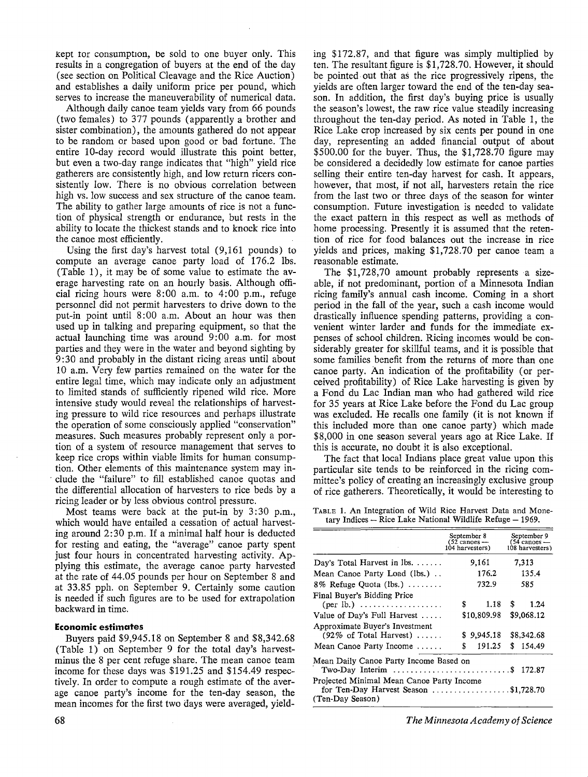kept tor consumption, be sold to one buyer only. This results in a congregation of buyers at the end of the day (see section on Political Cleavage and the Rice Auction) and establishes a daily uniform price per pound, which serves to increase the maneuverability of numerical data.

Although daily canoe team yields vary from 66 pounds (two females) to 377 pounds (apparently a brother and sister combination), the amounts gathered do not appear to be random or based upon good or bad fortune. The entire 10-day record would illustrate this point better, but even a two-day range indicates that "high" yield rice gatherers are consistently high, and low return ricers consistently low. There is no obvious correlation between high vs. low success and sex structure of the canoe team. The ability to gather large amounts of rice is not a function of physical strength or endurance, but rests in the ability to locate the thickest stands and to knock rice into the canoe most efficiently.

Using the first day's harvest total (9,161 pounds) to compute an average canoe party load of 176.2 lbs. (Table 1), it may be of some value to estimate the average harvesting rate on an hourly basis. Although official ricing hours were 8:00 a.m. to 4:00 p.m., refuge personnel did not permit harvesters to drive down to the put-in point until 8:00 a.m. About an hour was then used up in talking and preparing equipment, so that the actual launching time was around 9:00 a.m. for most parties and they were in the water and beyond sighting by 9:30 and probably in the distant ricing areas until about 10 a.m. Very few parties remained on the water for the entire legal time, which may indicate only an adjustment to limited stands of sufficiently ripened wild rice. More intensive study would reveal the relationships of harvesting pressure to wild rice resources and perhaps illustrate the operation of some consciously applied "conservation" measures. Such measures probably represent only a portion of a system of resource management that serves to keep rice crops within viable limits for human consumption. Other elements of this maintenance system may in- . elude the "failure" to fill established canoe quotas and the differential allocation of harvesters to rice beds by a ricing leader or by less obvious control pressure.

Most teams were back at the put-in by 3:30 p.m., which would have entailed a cessation of actual harvesting around 2:30 p.m. If a minimal half hour is deducted for resting and eating, the "average" canoe party spent just four hours in concentrated harvesting activity. Applying this estimate, the average canoe party harvested at the rate of 44.05 pounds per hour on September 8 and at 33.85 pph. on September 9. Certainly some caution is needed if such figures are to be used for extrapolation backward in time.

# **Economic estimates**

Buyers paid \$9,945.18 on September 8 and \$8,342.68 (Table 1) on September 9 for the total day's harvestminus the 8 per cent refuge share. The mean canoe team income for these days was \$191.25 and \$154.49 respectively. In order to compute a rough estimate of the average canoe party's income for the ten-day season, the mean incomes for the first two days were averaged, yielding \$172.87, and that figure was simply multiplied by ten. The resultant figure is \$1,728.70. However, it should be pointed. out that as the rice progressively ripens, the yields are often larger toward the end of the ten-day season. In addition, the first day's buying price is usually the season's lowest, the raw rice value steadily increasing throughout the ten-day period. As noted in Table 1, the Rice Lake crop increased by six cents per pound in one day, representing an added financial output of about \$500.00 for the buyer. Thus, the \$1,728.70 figure may be considered a decidedly low estimate for canoe parties selling their entire ten-day harvest for cash. It appears, however, that most, if not all, harvesters retain the rice from the last two or three days of the season for winter consumption. Future investigation is needed to validate the exact pattern in this respect as well as methods of home processing. Presently it is assumed that the retention of rice for food balances out the increase in rice yields and prices, making \$1,728.70 per canoe team a reasonable estimate.

The \$1,728,70 amount probably represents a sizeable, if not predominant, portion of a Minnesota Indian ricing family's annual cash income. Coming in a short period in the fall of the year, such a cash income would drastically influence spending patterns, providing a convenient winter larder and funds for the immediate expenses of school children. Ricing incomes would be considerably greater for skillful teams, and it is possible that some families benefit from the returns of more than one canoe party. An indication of the profitability ( or perceived profitability) of Rice Lake harvesting is given by a Fond du Lac Indian man who had gathered wild rice for 35 years at Rice Lake before the Fond du Lac group was excluded. He recalls one family (it is not known if this included more than one canoe party) which made \$8,000 in one season several years ago at Rice Lake. If this is accurate, no doubt it is also exceptional.

The fact that local Indians place great value upon this particular site tends to be reinforced in the ricing committee's policy of creating an increasingly exclusive group of rice gatherers. Theoretically, it would be interesting to

TABLE 1. An Integration of Wild Rice Harvest Data and Monetary Indices  $-$  Rice Lake National Wildlife Refuge  $-$  1969.

|                                                                                                                        | September 8<br>(52 canoes —<br>104 harvesters) | September 9<br>$(54 \text{ cancs} -$<br>108 harvesters) |
|------------------------------------------------------------------------------------------------------------------------|------------------------------------------------|---------------------------------------------------------|
| Day's Total Harvest in $\mathbb{I}$ bs.                                                                                | 9.161                                          | 7.313                                                   |
| Mean Canoe Party Load (lbs.).                                                                                          | 176.2                                          | 135.4                                                   |
| $8\%$ Refuge Quota (lbs.)                                                                                              | 732.9                                          | 585                                                     |
| Final Buver's Bidding Price<br>$(\text{per lb.}) \ldots \ldots \ldots \ldots \ldots$                                   | \$<br>1.18                                     | S<br>1.24                                               |
| Value of Day's Full Harvest                                                                                            | \$10,809.98                                    | \$9,068.12                                              |
| Approximate Buyer's Investment<br>$(92\% \text{ of Total Harvest}) \dots$<br>Mean Canoe Party Income                   | \$9,945.18<br>\$<br>191.25                     | \$8,342.68<br>\$154.49                                  |
| Mean Daily Canoe Party Income Based on<br>Two-Day Interim $\ldots \ldots \ldots \ldots \ldots \ldots \ldots$ \$ 172.87 |                                                |                                                         |
| Projected Minimal Mean Canoe Party Income<br>for Ten-Day Harvest Season \$1,728.70<br>(Ten-Day Season)                 |                                                |                                                         |

*The Minnesota Academy of Science*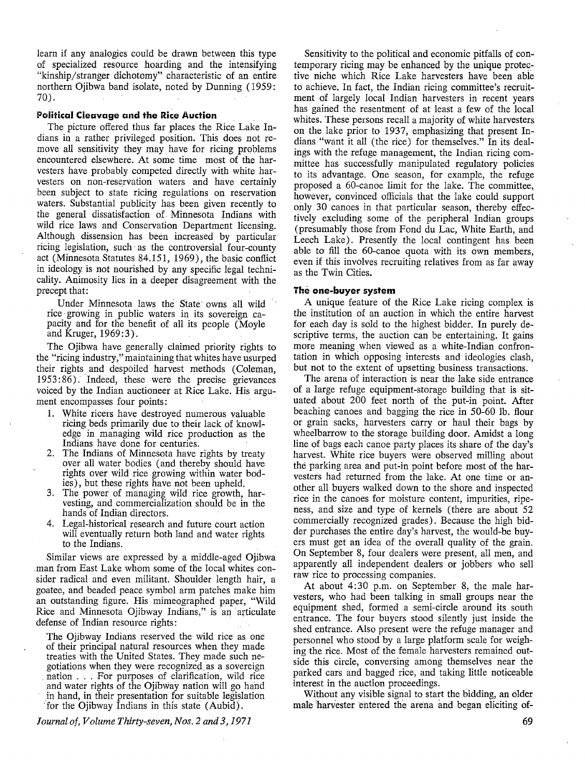learn if any analogies could be drawn between this type of specialized resource hoarding and the intensifying "kinship/stranger dichotomy" characteristic of an entire northern Ojibwa band isolate, noted by Dunning ( 1959: 70).

## **Political Cleavage and the Rice Auction**

The picture offered thus far places the Rice Lake Indians in a rather privileged position. This does not remove all sensitivity they may have for ricing problems encountered elsewhere. At some time most of the harvesters have probably competed directly with white harvesters on non-reservation waters and have certainly been subject to state ricing regulations on reservation waters. Substantial publicity has been given recently to the general dissatisfaction of. Minnesota Indians with wild rice laws and Conservation Department licensing. Although dissension has been increased by particular ricing legislation, such· as the controversial four-county act (Minnesota Statutes 84.151, 1969), the basic conflict in ideology is not nourished by any specific legal technicality. Animosity lies in a deeper disagreement with the precept that:

Under Minnesota laws the· State owns all wild rice· growing in public waters in its sovereign capacity and for the benefit of all its people (Moyle and Kruger, 1969:3).

The Ojibwa have generally claimed priority rights to the "ricing industry," maintaining that whites have usurped their rights and despoiled harvest methods (Coleman, 1953: 86). Indeed, these were the precise grievances voiced by the Indian auctioneer at Rice Lake. His argument encompasses four points:

- 1. White ricers have destroyed numerous valuable ricing beds primarily due to their lack of knowledge in managing wild rice production as the Indians have done for centuries.
- 2. The Indians of Minnesota have rights by treaty over all water bodies (and thereby should have rights over wild rice growing within water bodies), but these rights have not been upheld.
- 3. The power of managing wild rice growth, harvesting, and commercialization should be in the hands of Indian directors.
- 4. Legal-historical research and future court action will eventually return both land and water rights to the Indians.

Similar views are expressed by a middle-aged Ojibwa .man from East Lake whom some of the local whites consider radical and even militant. Shoulder length hair, a goatee, and beaded peace symbol arm patches make him an outstanding figure. His mimeographed paper, "Wild Rice and Minnesota Ojibway Indians," is an articulate defense of Indian resource rights:

The Ojibway Indians reserved the wild rice as one of their principal natural resources when they made treaties with the United States. They made such negotiations when they were recognized. as a sovereign . nation . . . For purposes of clarification, wild rice and water rights of the Ojibway nation will go hand in hand, in their presentation for suitable legislation :for the Ojibway Indians in this state (Aubid).

*Journal of, Volume Thirty-seven, Nos. 2 and 3, 1971* 

Sensitivity to the political and economic pitfalls of contemporary ricing may be enhanced by the unique protective niche which Rice Lake harvesters have been able to achieve. In fact, the Indian ricing committee's recruitment of largely local Indian harvesters in recent years has gained the resentment of at least a few of the local whites. These persons recall a majority of white harvesters on the lake prior to 1937, emphasizing that present Indians "want it all ( the rice) for themselves." In its dealings with the refuge management, the Indian ricing committee has successfully manipulated regulatory policies to its advantage. One season, for example, the refuge proposed a 60-canoe limit for the lake. The committee, however, convinced officials that the lake could support only 30 canoes in that particular season, thereby effectively excluding some of the peripheral Indian groups (presumably those from Fond du Lac, White Earth, and Leech Lake). Presently the local contingent has been able to fill the 60-canoe quota with its own members, even if this involves recruiting relatives from as far away as the Twin Cities.

#### **The one-buyer system**

A unique feature of the Rice Lake ricing complex is the institution of an auction in which the entire harvest for each day is sold to the highest bidder. In purely descriptive terms, the auction can be entertaining. It gains more meaning when viewed as a white-Indian confrontation in which opposing interests and ideologies clash, but not to the extent of upsetting business transactions.

The arena of interaction is near the lake side entrance of a large refuge equipment-storage building that is situated about 200 feet north of the put-in point. After beaching canoes and bagging the rice in 50-60 lb. flour or grain sacks, harvesters carry or haul their bags by wheelbarrow to the storage building door. Amidst a long line of bags each canoe party places its share of the day's harvest. White rice buyers were observed milling about the parking area and put-in point before most of the harvesters had returned from the lake. At one time or another all buyers walked down to the shore and inspected rice in the canoes for moisture content, impurities, ripeness, and size and type of kernels (there are about 52 commercially recognized grades) . Because the high bidder purchases the entire day's harvest, the would-be buyers must get an idea of the overall quality of the grain. On September 8, four dealers were present, all men, and apparently all independent dealers or jobbers who sell raw rice to processing companies.

At about 4:30 p.m. on September 8, the male harvesters, who had been talking in small groups near the equipment shed, formed a semi-circle around its south entrance. The four buyers stood silently just inside the shed entrance. Also present were the refuge manager and personnel who stood by a large platform scale for weighing the rice. Most of the female harvesters remained outside this circle, conversing among themselves near the parked cars and bagged rice, and taking little noticeable interest in the auction proceedings.

Without any visible signal to start the bidding, an older male harvester entered the arena and began eliciting of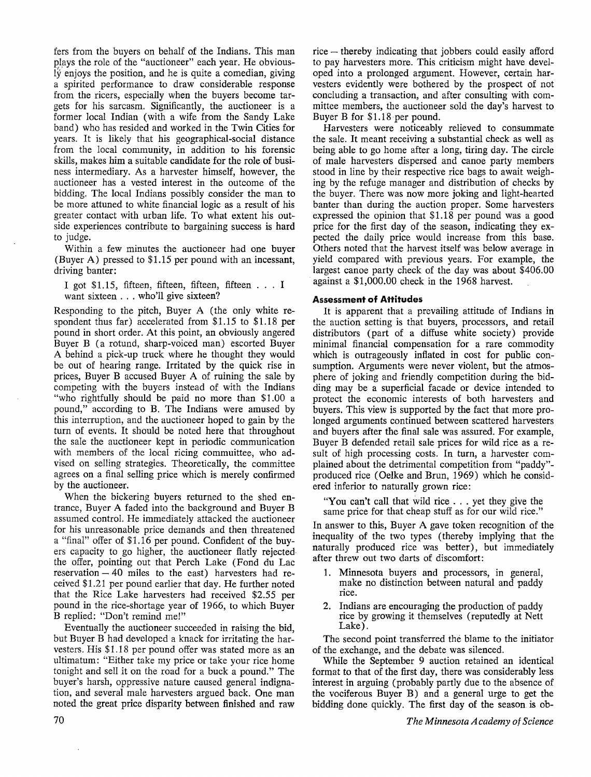fers from the buyers on behalf of the Indians. This man plays the role of the "auctioneer" each year. He obviously enjoys the position, and he is quite a comedian, giving a spirited performance to draw considerable response from the ricers, especially when the buyers become targets for his sarcasm. Significantly, the auctioneer is a former local Indian ( with a wife from the Sandy Lake band) who has resided and worked in the Twin Cities for years. It is likely that his geographical-social distance from the local community, in addition to his forensic skills, makes him a suitable candidate for the role of business intermediary. As a harvester himself, however, the auctioneer has a vested interest in the outcome of the bidding. The local Indians possibly consider the man to be more attuned to white financial logic as a result of his greater contact with urban life. To what extent his outside experiences contribute to bargaining success is hard to judge.

Within a few minutes the auctioneer had one buyer (Buyer A) pressed to \$1.15 per pound with an incessant, driving banter:

I got \$1.15, fifteen, fifteen, fifteen, fifteen . . . I want sixteen . . . who'll give sixteen?

Responding to the pitch, Buyer A ( the only white respondent thus far) accelerated from \$1.15 to \$1.18 per pound in short order. At this point, an obviously angered Buyer B (a rotund, sharp-voiced man) escorted Buyer A behind a pick-up truck where he thought they would be out of hearing range. Irritated by the quick rise in prices, Buyer B accused Buyer A of ruining the sale by competing with the buyers instead of with the Indians "who rightfully should be paid no more than \$1.00 a pound," according to B. The Indians were amused by this interruption, and the auctioneer hoped to gain by the turn of events. It should be noted here that throughout the sale the auctioneer kept in periodic communication with members of the local ricing commuittee, who advised on selling strategies. Theoretically, the committee agrees on a final selling price which is merely confirmed by the auctioneer.

When the bickering buyers returned to the shed entrance, Buyer A faded into the background and Buyer B assumed control. He immediately attacked the auctioneer for his unreasonable price demands and then threatened a "final" offer of \$1.16 per pound. Confident of the buyers capacity to go higher, the auctioneer flatly rejected the offer, pointing out that Perch Lake (Fond du Lac reservation  $-40$  miles to the east) harvesters had received \$1.21 per pound earlier that day. He further noted that the Rice Lake harvesters had received \$2.55 per pound in the rice-shortage year of 1966, to which Buyer B replied: "Don't remind me!"

Eventually the auctioneer succeeded in raising the bid, but Buyer B had developed a knack for irritating the harvesters. His \$1.18 per pound offer was stated more as an ultimatum: "Either take my price or take your rice home tonight and sell it on the road for a buck a pound." The buyer's harsh, oppressive nature caused general indignation, and several male harvesters argued back. One man noted the great price disparity between finished and raw rice – thereby indicating that jobbers could easily afford to pay harvesters more. This criticism might have developed into a prolonged argument. However, certain harvesters evidently were bothered by the prospect of not concluding a transaction, and after consulting with committee members, the auctioneer sold the day's harvest to Buyer B for \$1.18 per pound.

Harvesters were noticeably relieved to consummate the sale. It meant receiving a substantial check as well as being able to go home after a long, tiring day. The circle of male harvesters dispersed and canoe party members stood in line by their respective rice bags to await weighing by the refuge manager and distribution of checks by the buyer. There was now more joking and light-hearted banter than during the auction proper. Some harvesters expressed the opinion that \$1.18 per pound was a good price for the first day of the season, indicating they expected the daily price would increase from this base. Others noted that the harvest itself was below average in yield compared with previous years. For example, the largest canoe party check of the day was about \$406.00 against a \$1,000.00 check in the 1968 harvest.

# **Assessment of Attitudes**

It is apparent that a prevailing attitude of Indians in the auction setting is that buyers, processors, and retail distributors (part of a diffuse white society) provide minimal financial compensation for a rare commodity which is outrageously inflated in cost for public consumption. Arguments were never violent, but the atmosphere of joking and friendly competition during the bidding may be a superficial facade or device intended to protect the economic interests of both harvesters and buyers. This view is supported by the fact that more prolonged arguments continued between scattered harvesters and buyers after the final sale was assured. For example, Buyer B defended retail sale prices for wild rice as a result of high processing costs. In turn, a harvester complained about the detrimental competition from "paddy" produced rice (Oelke and Brun, 1969) which he considered inferior to naturally grown rice:

**"You** can't call that wild rice . . . yet they give the same price for that cheap stuff as for our wild rice."

In answer to this, Buyer A gave token recognition of the inequality of the two types (thereby implying that the naturally produced rice was better), but immediately after threw out two darts of discomfort:

- 1. Minnesota buyers and processors, in general, make no distinction between natural and paddy rice.
- 2. Indians are encouraging the production of paddy rice by growing it themselves (reputedly at Nett Lake).

The second point transferred the blame to the initiator of the exchange, and the debate was silenced.

While the September 9 auction retained an identical format to that of the first day, there was considerably less interest in arguing (probably partly due to the absence of the vociferous Buyer B) and a general urge to get the bidding done quickly. The first day of the season is ob-